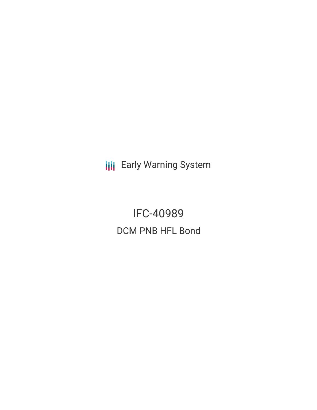**III** Early Warning System

IFC-40989 DCM PNB HFL Bond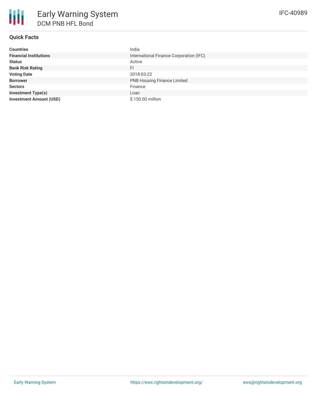# **Quick Facts**

| <b>Countries</b>               | India                                   |
|--------------------------------|-----------------------------------------|
| <b>Financial Institutions</b>  | International Finance Corporation (IFC) |
| <b>Status</b>                  | Active                                  |
| <b>Bank Risk Rating</b>        | FI                                      |
| <b>Voting Date</b>             | 2018-03-22                              |
| <b>Borrower</b>                | <b>PNB Housing Finance Limited</b>      |
| <b>Sectors</b>                 | Finance                                 |
| <b>Investment Type(s)</b>      | Loan                                    |
| <b>Investment Amount (USD)</b> | \$150.00 million                        |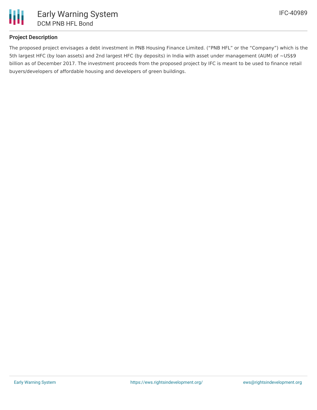

# **Project Description**

The proposed project envisages a debt investment in PNB Housing Finance Limited. ("PNB HFL" or the "Company") which is the 5th largest HFC (by loan assets) and 2nd largest HFC (by deposits) in India with asset under management (AUM) of ~US\$9 billion as of December 2017. The investment proceeds from the proposed project by IFC is meant to be used to finance retail buyers/developers of affordable housing and developers of green buildings.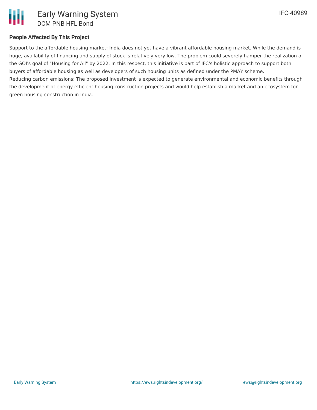# **People Affected By This Project**

Support to the affordable housing market: India does not yet have a vibrant affordable housing market. While the demand is huge, availability of financing and supply of stock is relatively very low. The problem could severely hamper the realization of the GOI's goal of "Housing for All" by 2022. In this respect, this initiative is part of IFC's holistic approach to support both buyers of affordable housing as well as developers of such housing units as defined under the PMAY scheme. Reducing carbon emissions: The proposed investment is expected to generate environmental and economic benefits through the development of energy efficient housing construction projects and would help establish a market and an ecosystem for

green housing construction in India.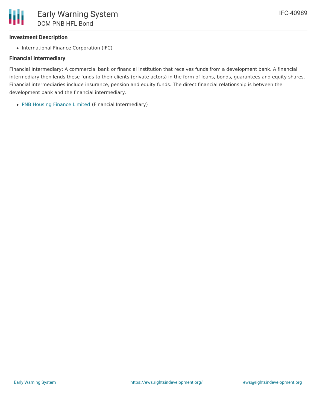### **Investment Description**

• International Finance Corporation (IFC)

### **Financial Intermediary**

Financial Intermediary: A commercial bank or financial institution that receives funds from a development bank. A financial intermediary then lends these funds to their clients (private actors) in the form of loans, bonds, guarantees and equity shares. Financial intermediaries include insurance, pension and equity funds. The direct financial relationship is between the development bank and the financial intermediary.

PNB [Housing](file:///actor/595/) Finance Limited (Financial Intermediary)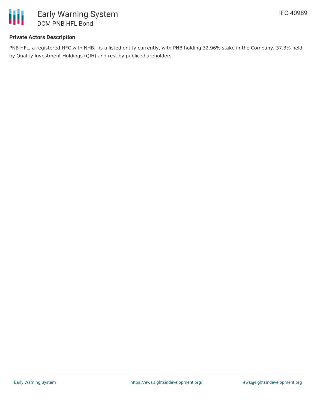

### **Private Actors Description**

PNB HFL, a registered HFC with NHB, is a listed entity currently, with PNB holding 32.96% stake in the Company, 37.3% held by Quality Investment Holdings (QIH) and rest by public shareholders.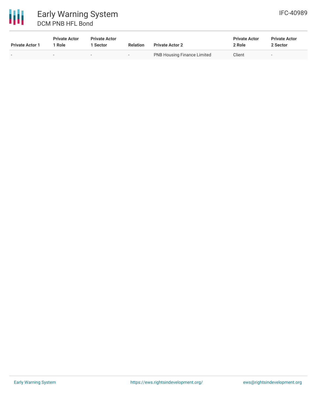

| <b>Private Actor 1</b> | <b>Private Actor</b><br>' Role | <b>Private Actor</b><br><b>Sector</b> | <b>Relation</b> | <b>Private Actor 2</b>             | <b>Private Actor</b><br>2 Role | <b>Private Actor</b><br>2 Sector |
|------------------------|--------------------------------|---------------------------------------|-----------------|------------------------------------|--------------------------------|----------------------------------|
|                        |                                | ۰                                     | -               | <b>PNB Housing Finance Limited</b> | Client                         |                                  |